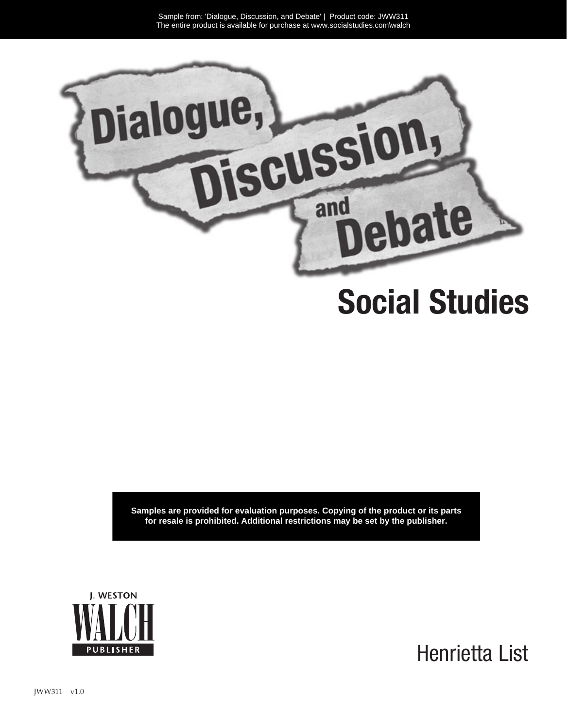

## **Social Studies**

**Samples are provided for evaluation purposes. Copying of the product or its parts for resale is prohibited. Additional restrictions may be set by the publisher.**



Henrietta List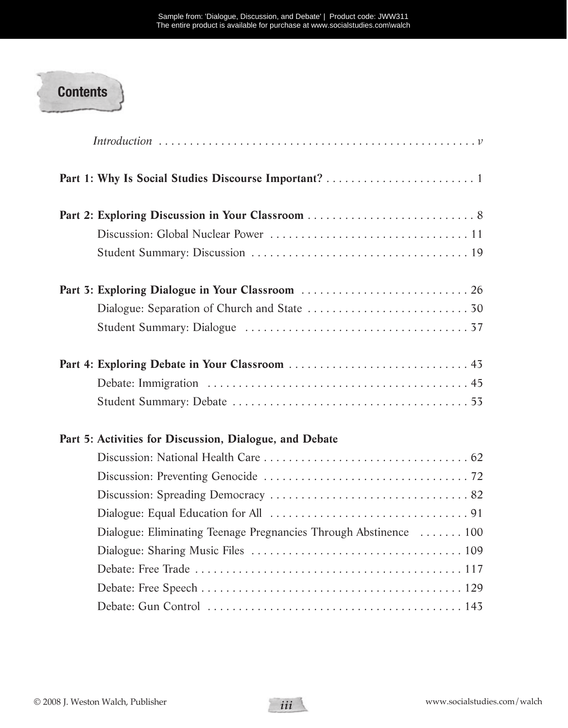

| Part 5: Activities for Discussion, Dialogue, and Debate           |
|-------------------------------------------------------------------|
|                                                                   |
|                                                                   |
|                                                                   |
|                                                                   |
| Dialogue: Eliminating Teenage Pregnancies Through Abstinence  100 |
|                                                                   |
|                                                                   |
|                                                                   |
|                                                                   |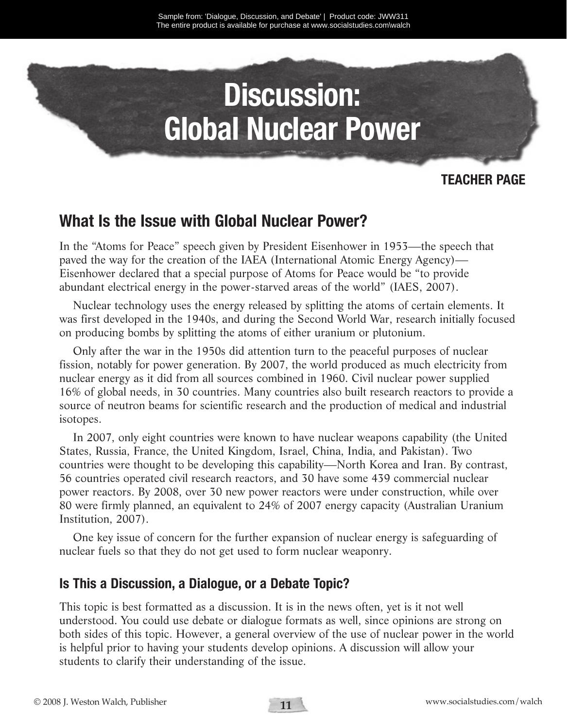# **Discussion: Global Nuclear Power**

#### **TEACHER PAGE**

### **What Is the Issue with Global Nuclear Power?**

In the "Atoms for Peace" speech given by President Eisenhower in 1953—the speech that paved the way for the creation of the IAEA (International Atomic Energy Agency)— Eisenhower declared that a special purpose of Atoms for Peace would be "to provide abundant electrical energy in the power-starved areas of the world" (IAES, 2007).

Nuclear technology uses the energy released by splitting the atoms of certain elements. It was first developed in the 1940s, and during the Second World War, research initially focused on producing bombs by splitting the atoms of either uranium or plutonium.

Only after the war in the 1950s did attention turn to the peaceful purposes of nuclear fission, notably for power generation. By 2007, the world produced as much electricity from nuclear energy as it did from all sources combined in 1960. Civil nuclear power supplied 16% of global needs, in 30 countries. Many countries also built research reactors to provide a source of neutron beams for scientific research and the production of medical and industrial isotopes.

In 2007, only eight countries were known to have nuclear weapons capability (the United States, Russia, France, the United Kingdom, Israel, China, India, and Pakistan). Two countries were thought to be developing this capability—North Korea and Iran. By contrast, 56 countries operated civil research reactors, and 30 have some 439 commercial nuclear power reactors. By 2008, over 30 new power reactors were under construction, while over 80 were firmly planned, an equivalent to 24% of 2007 energy capacity (Australian Uranium Institution, 2007).

One key issue of concern for the further expansion of nuclear energy is safeguarding of nuclear fuels so that they do not get used to form nuclear weaponry.

#### **Is This a Discussion, a Dialogue, or a Debate Topic?**

This topic is best formatted as a discussion. It is in the news often, yet is it not well understood. You could use debate or dialogue formats as well, since opinions are strong on both sides of this topic. However, a general overview of the use of nuclear power in the world is helpful prior to having your students develop opinions. A discussion will allow your students to clarify their understanding of the issue.

**11**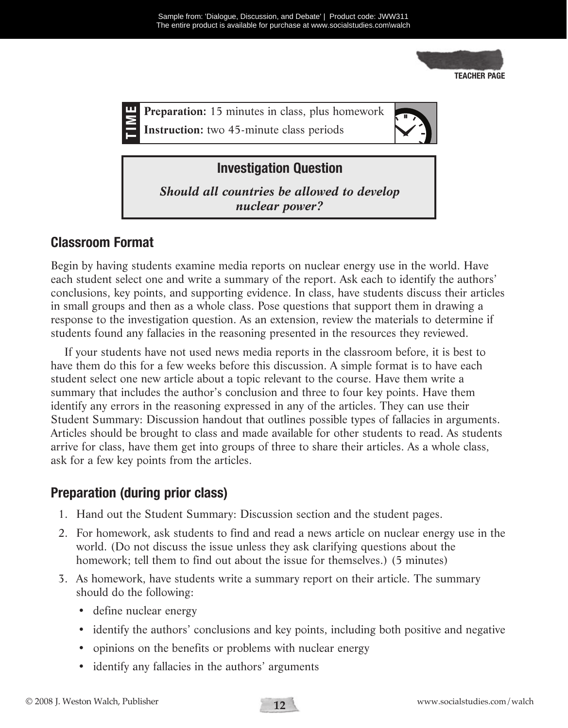

**Instruction:** two 45-minute class periods



#### **Investigation Question**

*Should all countries be allowed to develop nuclear power?*

#### **Classroom Format**

Begin by having students examine media reports on nuclear energy use in the world. Have each student select one and write a summary of the report. Ask each to identify the authors' conclusions, key points, and supporting evidence. In class, have students discuss their articles in small groups and then as a whole class. Pose questions that support them in drawing a response to the investigation question. As an extension, review the materials to determine if students found any fallacies in the reasoning presented in the resources they reviewed.

If your students have not used news media reports in the classroom before, it is best to have them do this for a few weeks before this discussion. A simple format is to have each student select one new article about a topic relevant to the course. Have them write a summary that includes the author's conclusion and three to four key points. Have them identify any errors in the reasoning expressed in any of the articles. They can use their Student Summary: Discussion handout that outlines possible types of fallacies in arguments. Articles should be brought to class and made available for other students to read. As students arrive for class, have them get into groups of three to share their articles. As a whole class, ask for a few key points from the articles. **Example 19**<br> **Example 19**<br> **Example 1999**<br> **Example 1999**<br> **Example 1999**<br> **Example 10**<br> **Example 10**<br> **Example 10**<br> **Example 10**<br> **Example 10**<br> **Example 10**<br> **Example 10**<br> **Example 10**<br> **Example 10**<br> **Example 10**<br> **Examp** 

#### **Preparation (during prior class)**

- 1. Hand out the Student Summary: Discussion section and the student pages.
- 2. For homework, ask students to find and read a news article on nuclear energy use in the world. (Do not discuss the issue unless they ask clarifying questions about the homework; tell them to find out about the issue for themselves.) (5 minutes)
- 3. As homework, have students write a summary report on their article. The summary should do the following:
	- define nuclear energy
	- identify the authors' conclusions and key points, including both positive and negative
	- opinions on the benefits or problems with nuclear energy
	-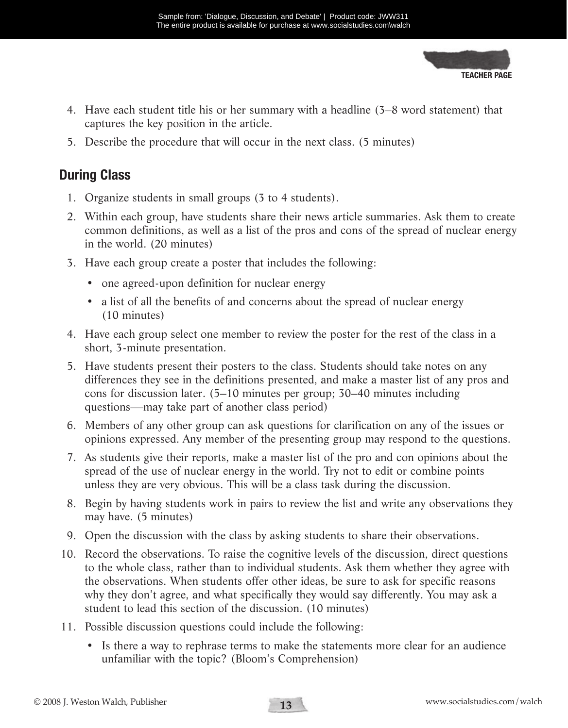**TEACHER PAGE**

- 4. Have each student title his or her summary with a headline (3–8 word statement) that captures the key position in the article.
- 5. Describe the procedure that will occur in the next class. (5 minutes)

#### **During Class**

- 1. Organize students in small groups (3 to 4 students).
- 2. Within each group, have students share their news article summaries. Ask them to create common definitions, as well as a list of the pros and cons of the spread of nuclear energy in the world. (20 minutes)
- 3. Have each group create a poster that includes the following:
	- one agreed-upon definition for nuclear energy
	- a list of all the benefits of and concerns about the spread of nuclear energy (10 minutes)
- 4. Have each group select one member to review the poster for the rest of the class in a short, 3-minute presentation.
- 5. Have students present their posters to the class. Students should take notes on any differences they see in the definitions presented, and make a master list of any pros and cons for discussion later. (5–10 minutes per group; 30–40 minutes including questions—may take part of another class period)
- 6. Members of any other group can ask questions for clarification on any of the issues or opinions expressed. Any member of the presenting group may respond to the questions.
- 7. As students give their reports, make a master list of the pro and con opinions about the spread of the use of nuclear energy in the world. Try not to edit or combine points unless they are very obvious. This will be a class task during the discussion.
- 8. Begin by having students work in pairs to review the list and write any observations they may have. (5 minutes)
- 9. Open the discussion with the class by asking students to share their observations.
- 10. Record the observations. To raise the cognitive levels of the discussion, direct questions to the whole class, rather than to individual students. Ask them whether they agree with the observations. When students offer other ideas, be sure to ask for specific reasons why they don't agree, and what specifically they would say differently. You may ask a student to lead this section of the discussion. (10 minutes) **Example from:** Discussion, and Debate incomes and Debate incomes and Debate incomes and Debate incomes the protice of the societies and the metric of the societies and the metric of the societies and the metric and the me
- 11. Possible discussion questions could include the following:
	- Is there a way to rephrase terms to make the statements more clear for an audience unfamiliar with the topic? (Bloom's Comprehension)